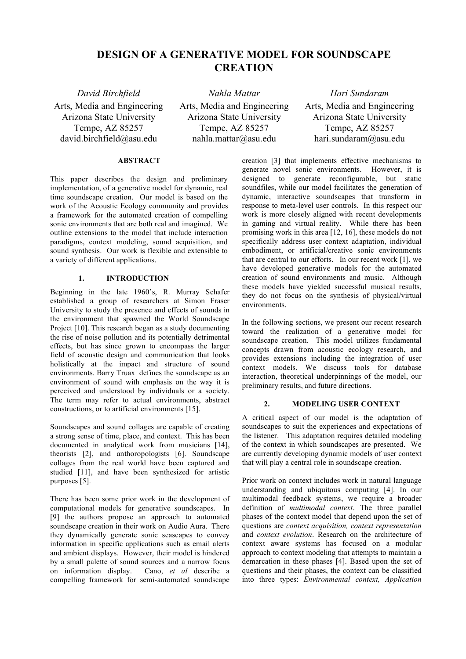# **DESIGN OF A GENERATIVE MODEL FOR SOUNDSCAPE CREATION**

*David Birchfield Nahla Mattar Hari Sundaram* Arts, Media and Engineering Arizona State University Tempe, AZ 85257 david.birchfield@asu.edu

Arts, Media and Engineering Arizona State University Tempe, AZ 85257 nahla.mattar@asu.edu

Arts, Media and Engineering Arizona State University Tempe, AZ 85257 hari.sundaram@asu.edu

#### **ABSTRACT**

This paper describes the design and preliminary implementation, of a generative model for dynamic, real time soundscape creation. Our model is based on the work of the Acoustic Ecology community and provides a framework for the automated creation of compelling sonic environments that are both real and imagined. We outline extensions to the model that include interaction paradigms, context modeling, sound acquisition, and sound synthesis. Our work is flexible and extensible to a variety of different applications.

# **1. INTRODUCTION**

Beginning in the late 1960's, R. Murray Schafer established a group of researchers at Simon Fraser University to study the presence and effects of sounds in the environment that spawned the World Soundscape Project [10]. This research began as a study documenting the rise of noise pollution and its potentially detrimental effects, but has since grown to encompass the larger field of acoustic design and communication that looks holistically at the impact and structure of sound environments. Barry Truax defines the soundscape as an environment of sound with emphasis on the way it is perceived and understood by individuals or a society. The term may refer to actual environments, abstract constructions, or to artificial environments [15].

Soundscapes and sound collages are capable of creating a strong sense of time, place, and context. This has been documented in analytical work from musicians [14], theorists [2], and anthoropologists [6]. Soundscape collages from the real world have been captured and studied [11], and have been synthesized for artistic purposes [5].

There has been some prior work in the development of computational models for generative soundscapes. In [9] the authors propose an approach to automated soundscape creation in their work on Audio Aura. There they dynamically generate sonic seascapes to convey information in specific applications such as email alerts and ambient displays. However, their model is hindered by a small palette of sound sources and a narrow focus on information display. Cano, *et al* describe a compelling framework for semi-automated soundscape

creation [3] that implements effective mechanisms to generate novel sonic environments. However, it is designed to generate reconfigurable, but static soundfiles, while our model facilitates the generation of dynamic, interactive soundscapes that transform in response to meta-level user controls. In this respect our work is more closely aligned with recent developments in gaming and virtual reality. While there has been promising work in this area [12, 16], these models do not specifically address user context adaptation, individual embodiment, or artificial/creative sonic environments that are central to our efforts. In our recent work [1], we have developed generative models for the automated creation of sound environments and music. Although these models have yielded successful musical results, they do not focus on the synthesis of physical/virtual environments.

In the following sections, we present our recent research toward the realization of a generative model for soundscape creation. This model utilizes fundamental concepts drawn from acoustic ecology research, and provides extensions including the integration of user context models. We discuss tools for database interaction, theoretical underpinnings of the model, our preliminary results, and future directions.

# **2. MODELING USER CONTEXT**

A critical aspect of our model is the adaptation of soundscapes to suit the experiences and expectations of the listener. This adaptation requires detailed modeling of the context in which soundscapes are presented. We are currently developing dynamic models of user context that will play a central role in soundscape creation.

Prior work on context includes work in natural language understanding and ubiquitous computing [4]. In our multimodal feedback systems, we require a broader definition of *multimodal context*. The three parallel phases of the context model that depend upon the set of questions are *context acquisition, context representation* and *context evolution*. Research on the architecture of context aware systems has focused on a modular approach to context modeling that attempts to maintain a demarcation in these phases [4]. Based upon the set of questions and their phases, the context can be classified into three types: *Environmental context, Application*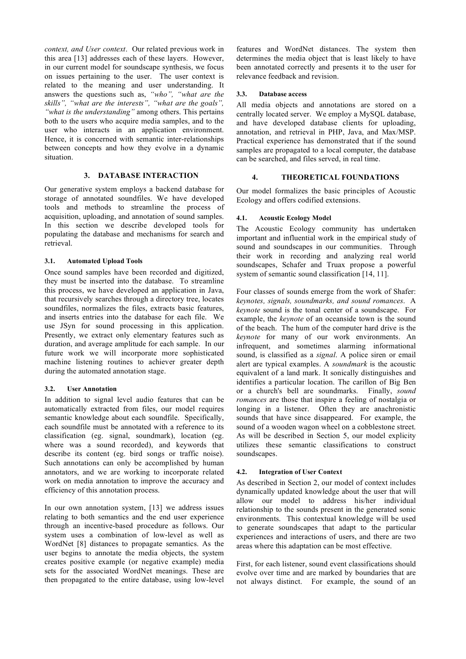*context, and User context*. Our related previous work in this area [13] addresses each of these layers. However, in our current model for soundscape synthesis, we focus on issues pertaining to the user. The user context is related to the meaning and user understanding. It answers the questions such as, *"who", "what are the skills", "what are the interests", "what are the goals", "what is the understanding"* among others. This pertains both to the users who acquire media samples, and to the user who interacts in an application environment. Hence, it is concerned with semantic inter-relationships between concepts and how they evolve in a dynamic situation.

# **3. DATABASE INTERACTION**

Our generative system employs a backend database for storage of annotated soundfiles. We have developed tools and methods to streamline the process of acquisition, uploading, and annotation of sound samples. In this section we describe developed tools for populating the database and mechanisms for search and retrieval.

# **3.1. Automated Upload Tools**

Once sound samples have been recorded and digitized, they must be inserted into the database. To streamline this process, we have developed an application in Java, that recursively searches through a directory tree, locates soundfiles, normalizes the files, extracts basic features, and inserts entries into the database for each file. We use JSyn for sound processing in this application. Presently, we extract only elementary features such as duration, and average amplitude for each sample. In our future work we will incorporate more sophisticated machine listening routines to achiever greater depth during the automated annotation stage.

# **3.2. User Annotation**

In addition to signal level audio features that can be automatically extracted from files, our model requires semantic knowledge about each soundfile. Specifically, each soundfile must be annotated with a reference to its classification (eg. signal, soundmark), location (eg. where was a sound recorded), and keywords that describe its content (eg. bird songs or traffic noise). Such annotations can only be accomplished by human annotators, and we are working to incorporate related work on media annotation to improve the accuracy and efficiency of this annotation process.

In our own annotation system, [13] we address issues relating to both semantics and the end user experience through an incentive-based procedure as follows. Our system uses a combination of low-level as well as WordNet [8] distances to propagate semantics. As the user begins to annotate the media objects, the system creates positive example (or negative example) media sets for the associated WordNet meanings. These are then propagated to the entire database, using low-level features and WordNet distances. The system then determines the media object that is least likely to have been annotated correctly and presents it to the user for relevance feedback and revision.

# **3.3. Database access**

All media objects and annotations are stored on a centrally located server. We employ a MySQL database, and have developed database clients for uploading, annotation, and retrieval in PHP, Java, and Max/MSP. Practical experience has demonstrated that if the sound samples are propagated to a local computer, the database can be searched, and files served, in real time.

# **4. THEORETICAL FOUNDATIONS**

Our model formalizes the basic principles of Acoustic Ecology and offers codified extensions.

# **4.1. Acoustic Ecology Model**

The Acoustic Ecology community has undertaken important and influential work in the empirical study of sound and soundscapes in our communities. Through their work in recording and analyzing real world soundscapes, Schafer and Truax propose a powerful system of semantic sound classification [14, 11].

Four classes of sounds emerge from the work of Shafer: *keynotes, signals, soundmarks, and sound romances*. A *keynote* sound is the tonal center of a soundscape. For example, the *keynote* of an oceanside town is the sound of the beach. The hum of the computer hard drive is the *keynote* for many of our work environments. An infrequent, and sometimes alarming informational sound, is classified as a *signal*. A police siren or email alert are typical examples. A *soundmark* is the acoustic equivalent of a land mark. It sonically distinguishes and identifies a particular location. The carillon of Big Ben or a church's bell are soundmarks. Finally, *sound romances* are those that inspire a feeling of nostalgia or longing in a listener. Often they are anachronistic sounds that have since disappeared. For example, the sound of a wooden wagon wheel on a cobblestone street. As will be described in Section 5, our model explicity utilizes these semantic classifications to construct soundscapes.

# **4.2. Integration of User Context**

As described in Section 2, our model of context includes dynamically updated knowledge about the user that will allow our model to address his/her individual relationship to the sounds present in the generated sonic environments. This contextual knowledge will be used to generate soundscapes that adapt to the particular experiences and interactions of users, and there are two areas where this adaptation can be most effective.

First, for each listener, sound event classifications should evolve over time and are marked by boundaries that are not always distinct. For example, the sound of an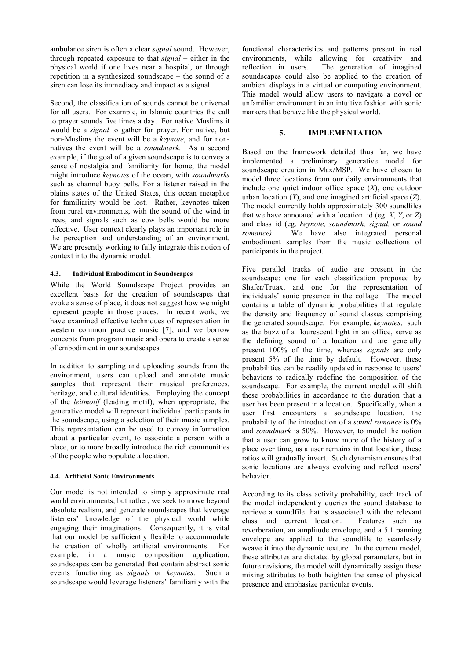ambulance siren is often a clear *signal* sound. However, through repeated exposure to that *signal* – either in the physical world if one lives near a hospital, or through repetition in a synthesized soundscape – the sound of a siren can lose its immediacy and impact as a signal.

Second, the classification of sounds cannot be universal for all users. For example, in Islamic countries the call to prayer sounds five times a day. For native Muslims it would be a *signal* to gather for prayer. For native, but non-Muslims the event will be a *keynote*, and for nonnatives the event will be a *soundmark*. As a second example, if the goal of a given soundscape is to convey a sense of nostalgia and familiarity for home, the model might introduce *keynotes* of the ocean, with *soundmarks* such as channel buoy bells. For a listener raised in the plains states of the United States, this ocean metaphor for familiarity would be lost. Rather, keynotes taken from rural environments, with the sound of the wind in trees, and signals such as cow bells would be more effective. User context clearly plays an important role in the perception and understanding of an environment. We are presently working to fully integrate this notion of context into the dynamic model.

# **4.3. Individual Embodiment in Soundscapes**

While the World Soundscape Project provides an excellent basis for the creation of soundscapes that evoke a sense of place, it does not suggest how we might represent people in those places. In recent work, we have examined effective techniques of representation in western common practice music [7], and we borrow concepts from program music and opera to create a sense of embodiment in our soundscapes.

In addition to sampling and uploading sounds from the environment, users can upload and annotate music samples that represent their musical preferences, heritage, and cultural identities. Employing the concept of the *leitmotif* (leading motif), when appropriate, the generative model will represent individual participants in the soundscape, using a selection of their music samples. This representation can be used to convey information about a particular event, to associate a person with a place, or to more broadly introduce the rich communities of the people who populate a location.

#### **4.4. Artificial Sonic Environments**

Our model is not intended to simply approximate real world environments, but rather, we seek to move beyond absolute realism, and generate soundscapes that leverage listeners' knowledge of the physical world while engaging their imaginations. Consequently, it is vital that our model be sufficiently flexible to accommodate the creation of wholly artificial environments. For example, in a music composition application, soundscapes can be generated that contain abstract sonic events functioning as *signals* or *keynotes*. Such a soundscape would leverage listeners' familiarity with the

functional characteristics and patterns present in real environments, while allowing for creativity and reflection in users. The generation of imagined soundscapes could also be applied to the creation of ambient displays in a virtual or computing environment. This model would allow users to navigate a novel or unfamiliar environment in an intuitive fashion with sonic markers that behave like the physical world.

# **5. IMPLEMENTATION**

Based on the framework detailed thus far, we have implemented a preliminary generative model for soundscape creation in Max/MSP. We have chosen to model three locations from our daily environments that include one quiet indoor office space (*X*), one outdoor urban location (*Y*), and one imagined artificial space (*Z*). The model currently holds approximately 300 soundfiles that we have annotated with a location id (eg.  $X$ ,  $Y$ , or  $Z$ ) and class\_id (eg. *keynote, soundmark, signal,* or *sound romance*). We have also integrated personal embodiment samples from the music collections of participants in the project.

Five parallel tracks of audio are present in the soundscape: one for each classification proposed by Shafer/Truax, and one for the representation of individuals' sonic presence in the collage. The model contains a table of dynamic probabilities that regulate the density and frequency of sound classes comprising the generated soundscape. For example, *keynotes*, such as the buzz of a flourescent light in an office, serve as the defining sound of a location and are generally present 100% of the time, whereas *signals* are only present 5% of the time by default. However, these probabilities can be readily updated in response to users' behaviors to radically redefine the composition of the soundscape. For example, the current model will shift these probabilities in accordance to the duration that a user has been present in a location. Specifically, when a user first encounters a soundscape location, the probability of the introduction of a *sound romance* is 0% and *soundmark* is 50%. However, to model the notion that a user can grow to know more of the history of a place over time, as a user remains in that location, these ratios will gradually invert. Such dynamism ensures that sonic locations are always evolving and reflect users' behavior.

According to its class activity probability, each track of the model independently queries the sound database to retrieve a soundfile that is associated with the relevant class and current location. Features such as reverberation, an amplitude envelope, and a 5.1 panning envelope are applied to the soundfile to seamlessly weave it into the dynamic texture. In the current model, these attributes are dictated by global parameters, but in future revisions, the model will dynamically assign these mixing attributes to both heighten the sense of physical presence and emphasize particular events.